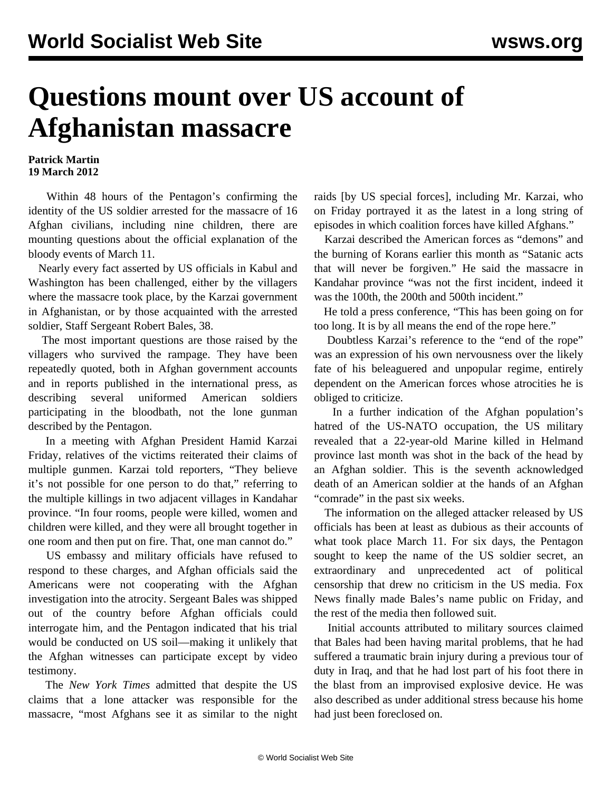## **Questions mount over US account of Afghanistan massacre**

## **Patrick Martin 19 March 2012**

 Within 48 hours of the Pentagon's confirming the identity of the US soldier arrested for the massacre of 16 Afghan civilians, including nine children, there are mounting questions about the official explanation of the bloody events of March 11.

 Nearly every fact asserted by US officials in Kabul and Washington has been challenged, either by the villagers where the massacre took place, by the Karzai government in Afghanistan, or by those acquainted with the arrested soldier, Staff Sergeant Robert Bales, 38.

 The most important questions are those raised by the villagers who survived the rampage. They have been repeatedly quoted, both in Afghan government accounts and in reports published in the international press, as describing several uniformed American soldiers participating in the bloodbath, not the lone gunman described by the Pentagon.

 In a meeting with Afghan President Hamid Karzai Friday, relatives of the victims reiterated their claims of multiple gunmen. Karzai told reporters, "They believe it's not possible for one person to do that," referring to the multiple killings in two adjacent villages in Kandahar province. "In four rooms, people were killed, women and children were killed, and they were all brought together in one room and then put on fire. That, one man cannot do."

 US embassy and military officials have refused to respond to these charges, and Afghan officials said the Americans were not cooperating with the Afghan investigation into the atrocity. Sergeant Bales was shipped out of the country before Afghan officials could interrogate him, and the Pentagon indicated that his trial would be conducted on US soil—making it unlikely that the Afghan witnesses can participate except by video testimony.

 The *New York Times* admitted that despite the US claims that a lone attacker was responsible for the massacre, "most Afghans see it as similar to the night raids [by US special forces], including Mr. Karzai, who on Friday portrayed it as the latest in a long string of episodes in which coalition forces have killed Afghans."

 Karzai described the American forces as "demons" and the burning of Korans earlier this month as "Satanic acts that will never be forgiven." He said the massacre in Kandahar province "was not the first incident, indeed it was the 100th, the 200th and 500th incident."

 He told a press conference, "This has been going on for too long. It is by all means the end of the rope here."

 Doubtless Karzai's reference to the "end of the rope" was an expression of his own nervousness over the likely fate of his beleaguered and unpopular regime, entirely dependent on the American forces whose atrocities he is obliged to criticize.

 In a further indication of the Afghan population's hatred of the US-NATO occupation, the US military revealed that a 22-year-old Marine killed in Helmand province last month was shot in the back of the head by an Afghan soldier. This is the seventh acknowledged death of an American soldier at the hands of an Afghan "comrade" in the past six weeks.

 The information on the alleged attacker released by US officials has been at least as dubious as their accounts of what took place March 11. For six days, the Pentagon sought to keep the name of the US soldier secret, an extraordinary and unprecedented act of political censorship that drew no criticism in the US media. Fox News finally made Bales's name public on Friday, and the rest of the media then followed suit.

 Initial accounts attributed to military sources claimed that Bales had been having marital problems, that he had suffered a traumatic brain injury during a previous tour of duty in Iraq, and that he had lost part of his foot there in the blast from an improvised explosive device. He was also described as under additional stress because his home had just been foreclosed on.